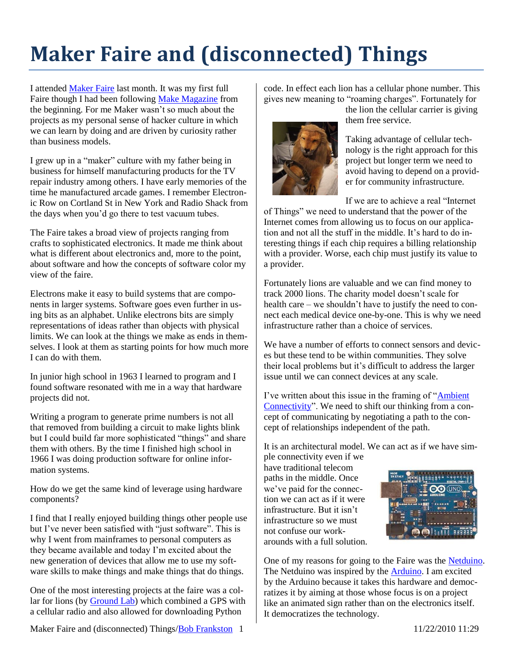## **Maker Faire and (disconnected) Things**

I attended [Maker Faire](http://makerfaire.com/newyork/2010/) last month. It was my first full Faire though I had been followin[g Make Magazine](http://makezine.com/) from the beginning. For me Maker wasn't so much about the projects as my personal sense of hacker culture in which we can learn by doing and are driven by curiosity rather than business models.

I grew up in a "maker" culture with my father being in business for himself manufacturing products for the TV repair industry among others. I have early memories of the time he manufactured arcade games. I remember Electronic Row on Cortland St in New York and Radio Shack from the days when you'd go there to test vacuum tubes.

The Faire takes a broad view of projects ranging from crafts to sophisticated electronics. It made me think about what is different about electronics and, more to the point, about software and how the concepts of software color my view of the faire.

Electrons make it easy to build systems that are components in larger systems. Software goes even further in using bits as an alphabet. Unlike electrons bits are simply representations of ideas rather than objects with physical limits. We can look at the things we make as ends in themselves. I look at them as starting points for how much more I can do with them.

In junior high school in 1963 I learned to program and I found software resonated with me in a way that hardware projects did not.

Writing a program to generate prime numbers is not all that removed from building a circuit to make lights blink but I could build far more sophisticated "things" and share them with others. By the time I finished high school in 1966 I was doing production software for online information systems.

How do we get the same kind of leverage using hardware components?

I find that I really enjoyed building things other people use but I've never been satisfied with "just software". This is why I went from mainframes to personal computers as they became available and today I'm excited about the new generation of devices that allow me to use my software skills to make things and make things that do things.

One of the most interesting projects at the faire was a collar for lions (by [Ground Lab\)](http://www.groundlab.cc/) which combined a GPS with a cellular radio and also allowed for downloading Python

Maker Faire and (disconnected) Things/Bob Frankston 1 11/22/2010 11:29

code. In effect each lion has a cellular phone number. This gives new meaning to "roaming charges". Fortunately for



the lion the cellular carrier is giving them free service.

Taking advantage of cellular technology is the right approach for this project but longer term we need to avoid having to depend on a provider for community infrastructure.

If we are to achieve a real "Internet

of Things" we need to understand that the power of the Internet comes from allowing us to focus on our application and not all the stuff in the middle. It's hard to do interesting things if each chip requires a billing relationship with a provider. Worse, each chip must justify its value to a provider.

Fortunately lions are valuable and we can find money to track 2000 lions. The charity model doesn't scale for health care – we shouldn't have to justify the need to connect each medical device one-by-one. This is why we need infrastructure rather than a choice of services.

We have a number of efforts to connect sensors and devices but these tend to be within communities. They solve their local problems but it's difficult to address the larger issue until we can connect devices at any scale.

I've written about this issue in the framing of ["Ambient](http://rmf.vc/?n=UAC)  [Connectivity"](http://rmf.vc/?n=UAC). We need to shift our thinking from a concept of communicating by negotiating a path to the concept of relationships independent of the path.

It is an architectural model. We can act as if we have simple connectivity even if we

have traditional telecom paths in the middle. Once we've paid for the connection we can act as if it were infrastructure. But it isn't infrastructure so we must not confuse our workarounds with a full solution.



One of my reasons for going to the Faire was the [Netduino.](http://www.netduino.com/) The Netduino was inspired by the **Arduino**. I am excited by the Arduino because it takes this hardware and democratizes it by aiming at those whose focus is on a project like an animated sign rather than on the electronics itself. It democratizes the technology.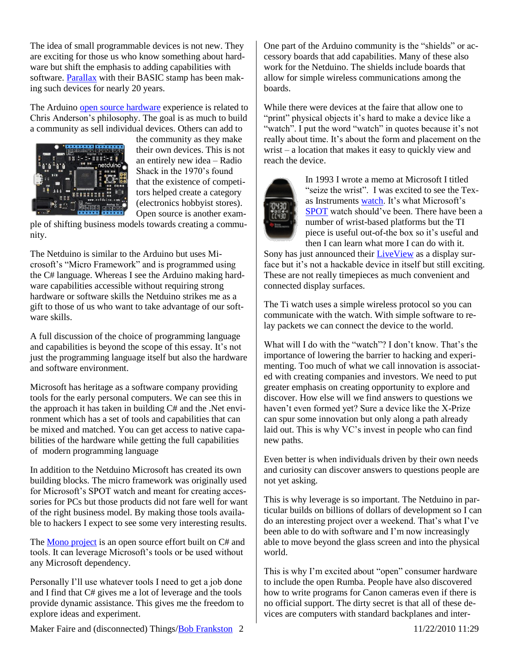The idea of small programmable devices is not new. They are exciting for those us who know something about hardware but shift the emphasis to adding capabilities with software. [Parallax](http://www.parallax.com/) with their BASIC stamp has been making such devices for nearly 20 years.

The Arduino [open source hardware](http://www.longtail.com/the_long_tail/2009/01/a-business-mode.html) experience is related to Chris Anderson's philosophy. The goal is as much to build a community as sell individual devices. Others can add to



the community as they make their own devices. This is not an entirely new idea – Radio Shack in the 1970's found that the existence of competitors helped create a category (electronics hobbyist stores). Open source is another exam-

ple of shifting business models towards creating a community.

The Netduino is similar to the Arduino but uses Microsoft's "Micro Framework" and is programmed using the C# language. Whereas I see the Arduino making hardware capabilities accessible without requiring strong hardware or software skills the Netduino strikes me as a gift to those of us who want to take advantage of our software skills.

A full discussion of the choice of programming language and capabilities is beyond the scope of this essay. It's not just the programming language itself but also the hardware and software environment.

Microsoft has heritage as a software company providing tools for the early personal computers. We can see this in the approach it has taken in building C# and the .Net environment which has a set of tools and capabilities that can be mixed and matched. You can get access to native capabilities of the hardware while getting the full capabilities of modern programming language

In addition to the Netduino Microsoft has created its own building blocks. The micro framework was originally used for Microsoft's SPOT watch and meant for creating accessories for PCs but those products did not fare well for want of the right business model. By making those tools available to hackers I expect to see some very interesting results.

The [Mono project](http://www.mono-project.com/) is an open source effort built on C# and tools. It can leverage Microsoft's tools or be used without any Microsoft dependency.

Personally I'll use whatever tools I need to get a job done and I find that C# gives me a lot of leverage and the tools provide dynamic assistance. This gives me the freedom to explore ideas and experiment.

One part of the Arduino community is the "shields" or accessory boards that add capabilities. Many of these also work for the Netduino. The shields include boards that allow for simple wireless communications among the boards.

While there were devices at the faire that allow one to "print" physical objects it's hard to make a device like a "watch". I put the word "watch" in quotes because it's not really about time. It's about the form and placement on the wrist – a location that makes it easy to quickly view and reach the device.



In 1993 I wrote a memo at Microsoft I titled "seize the wrist". I was excited to see the Texas Instruments [watch.](https://estore.ti.com/Product3.aspx?ProductId=1736) It's what Microsoft's [SPOT](http://en.wikipedia.org/wiki/Smart_Personal_Objects_Technology) watch should've been. There have been a number of wrist-based platforms but the TI piece is useful out-of-the box so it's useful and then I can learn what more I can do with it.

Sony has just announced thei[r LiveView](http://www.sonyericsson.com/cws/products/accessories/overview/liveview?cc=se&lc=en#a) as a display surface but it's not a hackable device in itself but still exciting. These are not really timepieces as much convenient and connected display surfaces.

The Ti watch uses a simple wireless protocol so you can communicate with the watch. With simple software to relay packets we can connect the device to the world.

What will I do with the "watch"? I don't know. That's the importance of lowering the barrier to hacking and experimenting. Too much of what we call innovation is associated with creating companies and investors. We need to put greater emphasis on creating opportunity to explore and discover. How else will we find answers to questions we haven't even formed yet? Sure a device like the X-Prize can spur some innovation but only along a path already laid out. This is why VC's invest in people who can find new paths.

Even better is when individuals driven by their own needs and curiosity can discover answers to questions people are not yet asking.

This is why leverage is so important. The Netduino in particular builds on billions of dollars of development so I can do an interesting project over a weekend. That's what I've been able to do with software and I'm now increasingly able to move beyond the glass screen and into the physical world.

This is why I'm excited about "open" consumer hardware to include the open Rumba. People have also discovered how to write programs for Canon cameras even if there is no official support. The dirty secret is that all of these devices are computers with standard backplanes and inter-

Maker Faire and (disconnected) Things/Bob Frankston 2 11/22/2010 11:29